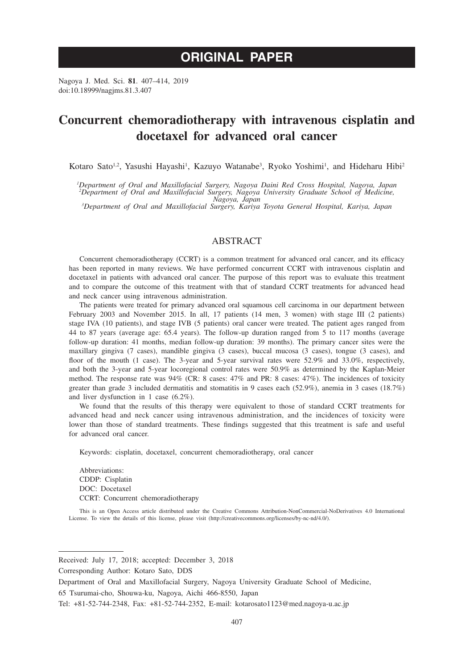# **ORIGINAL PAPER**

Nagoya J. Med. Sci. **81**. 407–414, 2019 doi:10.18999/nagjms.81.3.407

# **Concurrent chemoradiotherapy with intravenous cisplatin and docetaxel for advanced oral cancer**

Kotaro Sato<sup>1,2</sup>, Yasushi Hayashi<sup>1</sup>, Kazuyo Watanabe<sup>3</sup>, Ryoko Yoshimi<sup>1</sup>, and Hideharu Hibi<sup>2</sup>

*1 Department of Oral and Maxillofacial Surgery, Nagoya Daini Red Cross Hospital, Nagoya, Japan 2 Department of Oral and Maxillofacial Surgery, Nagoya University Graduate School of Medicine, Nagoya, Japan <sup>3</sup>*

*Department of Oral and Maxillofacial Surgery, Kariya Toyota General Hospital, Kariya, Japan*

# ABSTRACT

Concurrent chemoradiotherapy (CCRT) is a common treatment for advanced oral cancer, and its efficacy has been reported in many reviews. We have performed concurrent CCRT with intravenous cisplatin and docetaxel in patients with advanced oral cancer. The purpose of this report was to evaluate this treatment and to compare the outcome of this treatment with that of standard CCRT treatments for advanced head and neck cancer using intravenous administration.

The patients were treated for primary advanced oral squamous cell carcinoma in our department between February 2003 and November 2015. In all, 17 patients (14 men, 3 women) with stage III (2 patients) stage IVA (10 patients), and stage IVB (5 patients) oral cancer were treated. The patient ages ranged from 44 to 87 years (average age: 65.4 years). The follow-up duration ranged from 5 to 117 months (average follow-up duration: 41 months, median follow-up duration: 39 months). The primary cancer sites were the maxillary gingiva (7 cases), mandible gingiva (3 cases), buccal mucosa (3 cases), tongue (3 cases), and floor of the mouth (1 case). The 3-year and 5-year survival rates were 52.9% and 33.0%, respectively, and both the 3-year and 5-year locoregional control rates were 50.9% as determined by the Kaplan-Meier method. The response rate was 94% (CR: 8 cases: 47% and PR: 8 cases: 47%). The incidences of toxicity greater than grade 3 included dermatitis and stomatitis in 9 cases each (52.9%), anemia in 3 cases (18.7%) and liver dysfunction in 1 case (6.2%).

We found that the results of this therapy were equivalent to those of standard CCRT treatments for advanced head and neck cancer using intravenous administration, and the incidences of toxicity were lower than those of standard treatments. These findings suggested that this treatment is safe and useful for advanced oral cancer.

Keywords: cisplatin, docetaxel, concurrent chemoradiotherapy, oral cancer

Abbreviations: CDDP: Cisplatin DOC: Docetaxel CCRT: Concurrent chemoradiotherapy

This is an Open Access article distributed under the Creative Commons Attribution-NonCommercial-NoDerivatives 4.0 International License. To view the details of this license, please visit (http://creativecommons.org/licenses/by-nc-nd/4.0/).

Received: July 17, 2018; accepted: December 3, 2018

Corresponding Author: Kotaro Sato, DDS

65 Tsurumai-cho, Shouwa-ku, Nagoya, Aichi 466-8550, Japan

Department of Oral and Maxillofacial Surgery, Nagoya University Graduate School of Medicine,

Tel: +81-52-744-2348, Fax: +81-52-744-2352, E-mail: kotarosato1123@med.nagoya-u.ac.jp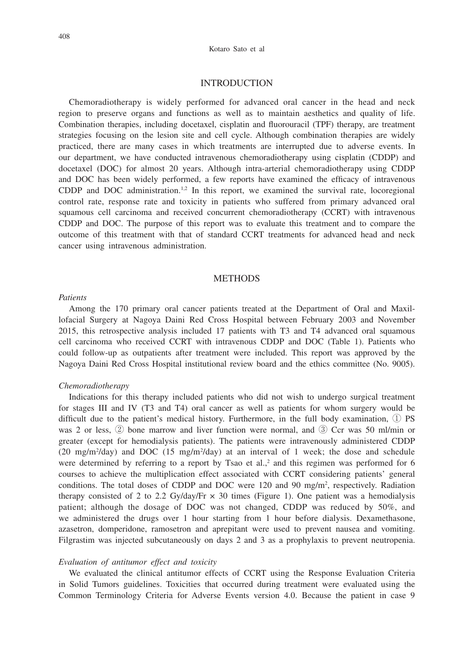#### Kotaro Sato et al

## **INTRODUCTION**

Chemoradiotherapy is widely performed for advanced oral cancer in the head and neck region to preserve organs and functions as well as to maintain aesthetics and quality of life. Combination therapies, including docetaxel, cisplatin and fluorouracil (TPF) therapy, are treatment strategies focusing on the lesion site and cell cycle. Although combination therapies are widely practiced, there are many cases in which treatments are interrupted due to adverse events. In our department, we have conducted intravenous chemoradiotherapy using cisplatin (CDDP) and docetaxel (DOC) for almost 20 years. Although intra-arterial chemoradiotherapy using CDDP and DOC has been widely performed, a few reports have examined the efficacy of intravenous CDDP and DOC administration.<sup>1,2</sup> In this report, we examined the survival rate, locoregional control rate, response rate and toxicity in patients who suffered from primary advanced oral squamous cell carcinoma and received concurrent chemoradiotherapy (CCRT) with intravenous CDDP and DOC. The purpose of this report was to evaluate this treatment and to compare the outcome of this treatment with that of standard CCRT treatments for advanced head and neck cancer using intravenous administration.

### **METHODS**

#### *Patients*

Among the 170 primary oral cancer patients treated at the Department of Oral and Maxillofacial Surgery at Nagoya Daini Red Cross Hospital between February 2003 and November 2015, this retrospective analysis included 17 patients with T3 and T4 advanced oral squamous cell carcinoma who received CCRT with intravenous CDDP and DOC (Table 1). Patients who could follow-up as outpatients after treatment were included. This report was approved by the Nagoya Daini Red Cross Hospital institutional review board and the ethics committee (No. 9005).

#### *Chemoradiotherapy*

Indications for this therapy included patients who did not wish to undergo surgical treatment for stages III and IV (T3 and T4) oral cancer as well as patients for whom surgery would be difficult due to the patient's medical history. Furthermore, in the full body examination, ① PS was 2 or less, ② bone marrow and liver function were normal, and ③ Ccr was 50 ml/min or greater (except for hemodialysis patients). The patients were intravenously administered CDDP (20 mg/m<sup>2</sup>/day) and DOC (15 mg/m<sup>2</sup>/day) at an interval of 1 week; the dose and schedule were determined by referring to a report by Tsao et al., $2$  and this regimen was performed for 6 courses to achieve the multiplication effect associated with CCRT considering patients' general conditions. The total doses of CDDP and DOC were 120 and 90 mg/m<sup>2</sup>, respectively. Radiation therapy consisted of 2 to 2.2 Gy/day/Fr  $\times$  30 times (Figure 1). One patient was a hemodialysis patient; although the dosage of DOC was not changed, CDDP was reduced by 50%, and we administered the drugs over 1 hour starting from 1 hour before dialysis. Dexamethasone, azasetron, domperidone, ramosetron and aprepitant were used to prevent nausea and vomiting. Filgrastim was injected subcutaneously on days 2 and 3 as a prophylaxis to prevent neutropenia.

## *Evaluation of antitumor effect and toxicity*

We evaluated the clinical antitumor effects of CCRT using the Response Evaluation Criteria in Solid Tumors guidelines. Toxicities that occurred during treatment were evaluated using the Common Terminology Criteria for Adverse Events version 4.0. Because the patient in case 9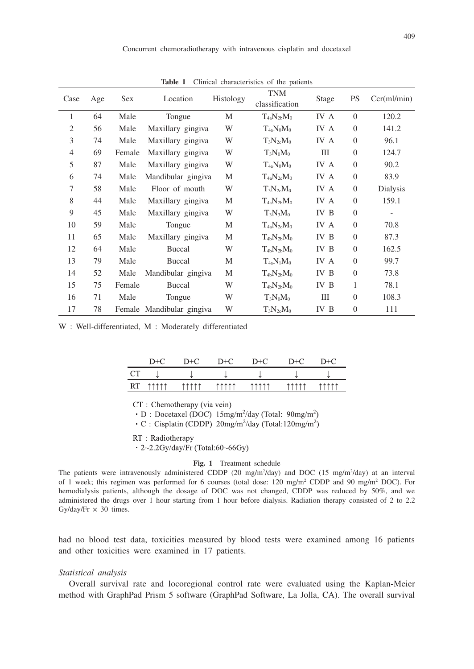| Case           | Age | Sex    | Location                  | Histology | <b>TNM</b><br>classification | Stage | <b>PS</b>        | Ccr(ml/min) |
|----------------|-----|--------|---------------------------|-----------|------------------------------|-------|------------------|-------------|
| 1              | 64  | Male   | Tongue                    | M         | $T_{4a}N_{2b}M_0$            | IV A  | $\overline{0}$   | 120.2       |
| $\mathfrak{2}$ | 56  | Male   | Maxillary gingiva         | W         | $T_{4a}N_0M_0$               | IV A  | $\theta$         | 141.2       |
| 3              | 74  | Male   | Maxillary gingiva         | W         | $T_3N_{2c}M_0$               | IV A  | $\boldsymbol{0}$ | 96.1        |
| $\overline{4}$ | 69  | Female | Maxillary gingiva         | W         | $T_3N_0M_0$                  | III   | $\boldsymbol{0}$ | 124.7       |
| 5              | 87  | Male   | Maxillary gingiva         | W         | $T_{4a}N_0M_0$               | IV A  | $\boldsymbol{0}$ | 90.2        |
| 6              | 74  | Male   | Mandibular gingiva        | M         | $T_{4a}N_{2c}M_0$            | IV A  | $\boldsymbol{0}$ | 83.9        |
| 7              | 58  | Male   | Floor of mouth            | W         | $T_3N_{2c}M_0$               | IV A  | $\mathbf{0}$     | Dialysis    |
| 8              | 44  | Male   | Maxillary gingiva         | M         | $T_{4a}N_{2b}M_0$            | IV A  | $\boldsymbol{0}$ | 159.1       |
| 9              | 45  | Male   | Maxillary gingiva         | W         | $T_3N_3M_0$                  | IV B  | $\mathbf{0}$     |             |
| 10             | 59  | Male   | Tongue                    | М         | $T_{4a}N_{2c}M_0$            | IV A  | $\mathbf{0}$     | 70.8        |
| 11             | 65  | Male   | Maxillary gingiva         | М         | $T_{4b}N_{2b}M_0$            | IV B  | $\boldsymbol{0}$ | 87.3        |
| 12             | 64  | Male   | Buccal                    | W         | $T_{4b}N_{2b}M_0$            | IV B  | $\overline{0}$   | 162.5       |
| 13             | 79  | Male   | Buccal                    | М         | $T_{4a}N_1M_0$               | IV A  | $\boldsymbol{0}$ | 99.7        |
| 14             | 52  | Male   | Mandibular gingiva        | M         | $T_{4b}N_{2b}M_0$            | IV B  | $\overline{0}$   | 73.8        |
| 15             | 75  | Female | Buccal                    | W         | $T_{4b}N_{2b}M_0$            | IV B  | 1                | 78.1        |
| 16             | 71  | Male   | Tongue                    | W         | $T_3N_0M_0$                  | Ш     | $\overline{0}$   | 108.3       |
| 17             | 78  |        | Female Mandibular gingiva | W         | $T_3N_{2c}M_0$               | IV B  | $\mathbf{0}$     | 111         |

**Table 1** Clinical characteristics of the patients

W : Well-differentiated, M : Moderately differentiated

|    | D+C          | $1)+$        | $+(-$                     | $D+C$                     | ⁄ ⊥ו                      | $+6$                |
|----|--------------|--------------|---------------------------|---------------------------|---------------------------|---------------------|
|    | w            | s.           | J.                        |                           |                           | 514                 |
| RT | <b>11111</b> | <b>11111</b> | <b><i><u>AAAA</u></i></b> | <b><i><u>AAAA</u></i></b> | <b><i><u>AAAA</u></i></b> | <b><i>AAAAA</i></b> |

CT: Chemotherapy (via vein)

 $\cdot$  D : Docetaxel (DOC) 15mg/m<sup>2</sup>/day (Total: 90mg/m<sup>2</sup>)

 $\cdot$  C : Cisplatin (CDDP) 20mg/m<sup>2</sup>/day (Total:120mg/m<sup>2</sup>)

RT: Radiotherapy

 $-2$ ~2.2Gy/day/Fr (Total:60~66Gy)

#### **Fig. 1** Treatment schedule

The patients were intravenously administered CDDP (20 mg/m<sup>2</sup>/day) and DOC (15 mg/m<sup>2</sup>/day) at an interval of 1 week; this regimen was performed for 6 courses (total dose: 120 mg/m<sup>2</sup> CDDP and 90 mg/m<sup>2</sup> DOC). For hemodialysis patients, although the dosage of DOC was not changed, CDDP was reduced by 50%, and we administered the drugs over 1 hour starting from 1 hour before dialysis. Radiation therapy consisted of 2 to 2.2 Gy/day/Fr  $\times$  30 times.

had no blood test data, toxicities measured by blood tests were examined among 16 patients and other toxicities were examined in 17 patients.

### *Statistical analysis*

Overall survival rate and locoregional control rate were evaluated using the Kaplan-Meier method with GraphPad Prism 5 software (GraphPad Software, La Jolla, CA). The overall survival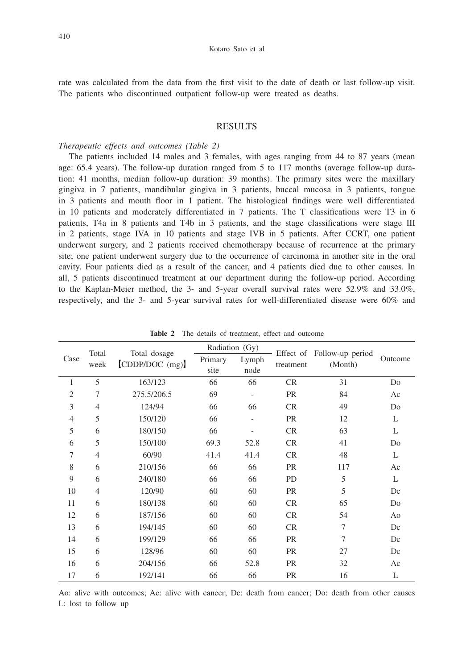rate was calculated from the data from the first visit to the date of death or last follow-up visit. The patients who discontinued outpatient follow-up were treated as deaths.

## RESULTS

#### *Therapeutic effects and outcomes (Table 2)*

The patients included 14 males and 3 females, with ages ranging from 44 to 87 years (mean age: 65.4 years). The follow-up duration ranged from 5 to 117 months (average follow-up duration: 41 months, median follow-up duration: 39 months). The primary sites were the maxillary gingiva in 7 patients, mandibular gingiva in 3 patients, buccal mucosa in 3 patients, tongue in 3 patients and mouth floor in 1 patient. The histological findings were well differentiated in 10 patients and moderately differentiated in 7 patients. The T classifications were T3 in 6 patients, T4a in 8 patients and T4b in 3 patients, and the stage classifications were stage III in 2 patients, stage IVA in 10 patients and stage IVB in 5 patients. After CCRT, one patient underwent surgery, and 2 patients received chemotherapy because of recurrence at the primary site; one patient underwent surgery due to the occurrence of carcinoma in another site in the oral cavity. Four patients died as a result of the cancer, and 4 patients died due to other causes. In all, 5 patients discontinued treatment at our department during the follow-up period. According to the Kaplan-Meier method, the 3- and 5-year overall survival rates were 52.9% and 33.0%, respectively, and the 3- and 5-year survival rates for well-differentiated disease were 60% and

|                | Total          | Total dosage<br>[CDDP/DOC (mg)] | Radiation (Gy)  |                          |           |                                       |         |
|----------------|----------------|---------------------------------|-----------------|--------------------------|-----------|---------------------------------------|---------|
| Case           | week           |                                 | Primary<br>site | Lymph<br>node            | treatment | Effect of Follow-up period<br>(Month) | Outcome |
| 1              | 5              | 163/123                         | 66              | 66                       | <b>CR</b> | 31                                    | Do      |
|                |                |                                 |                 |                          |           |                                       |         |
| 2              | 7              | 275.5/206.5                     | 69              | $\overline{\phantom{a}}$ | <b>PR</b> | 84                                    | Ac      |
| 3              | $\overline{4}$ | 124/94                          | 66              | 66                       | <b>CR</b> | 49                                    | Do      |
| $\overline{4}$ | 5              | 150/120                         | 66              | $\overline{\phantom{a}}$ | <b>PR</b> | 12                                    | L       |
| 5              | 6              | 180/150                         | 66              |                          | CR        | 63                                    | L       |
| 6              | 5              | 150/100                         | 69.3            | 52.8                     | CR        | 41                                    | Do      |
| 7              | $\overline{4}$ | 60/90                           | 41.4            | 41.4                     | <b>CR</b> | 48                                    | L       |
| 8              | 6              | 210/156                         | 66              | 66                       | <b>PR</b> | 117                                   | Ac      |
| 9              | 6              | 240/180                         | 66              | 66                       | <b>PD</b> | 5                                     | L       |
| 10             | $\overline{4}$ | 120/90                          | 60              | 60                       | <b>PR</b> | 5                                     | Dc      |
| 11             | 6              | 180/138                         | 60              | 60                       | <b>CR</b> | 65                                    | Do      |
| 12             | 6              | 187/156                         | 60              | 60                       | <b>CR</b> | 54                                    | Ao      |
| 13             | 6              | 194/145                         | 60              | 60                       | <b>CR</b> | 7                                     | Dc      |
| 14             | 6              | 199/129                         | 66              | 66                       | <b>PR</b> | 7                                     | Dc      |
| 15             | 6              | 128/96                          | 60              | 60                       | <b>PR</b> | 27                                    | Dc      |
| 16             | 6              | 204/156                         | 66              | 52.8                     | <b>PR</b> | 32                                    | Ac      |
| 17             | 6              | 192/141                         | 66              | 66                       | PR        | 16                                    | L       |

**Table 2** The details of treatment, effect and outcome

Ao: alive with outcomes; Ac: alive with cancer; Dc: death from cancer; Do: death from other causes L: lost to follow up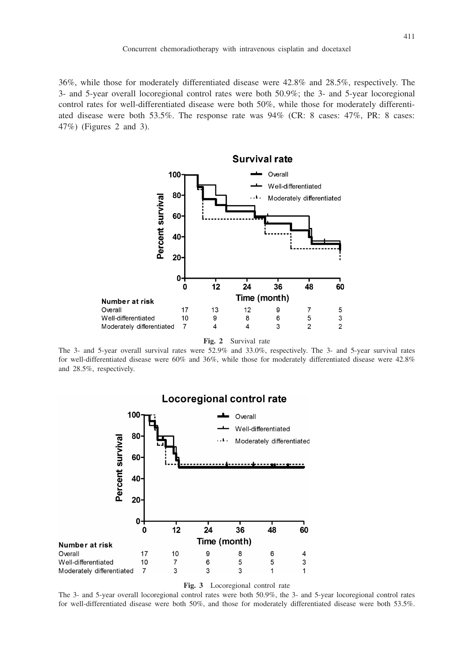36%, while those for moderately differentiated disease were 42.8% and 28.5%, respectively. The 3- and 5-year overall locoregional control rates were both 50.9%; the 3- and 5-year locoregional control rates for well-differentiated disease were both 50%, while those for moderately differentiated disease were both 53.5%. The response rate was 94% (CR: 8 cases: 47%, PR: 8 cases: 47%) (Figures 2 and 3).



**Fig. 2** Survival rate

The 3- and 5-year overall survival rates were 52.9% and 33.0%, respectively. The 3- and 5-year survival rates for well-differentiated disease were 60% and 36%, while those for moderately differentiated disease were 42.8% and 28.5%, respectively.



**Fig. 3** Locoregional control rate

The 3- and 5-year overall locoregional control rates were both 50.9%, the 3- and 5-year locoregional control rates for well-differentiated disease were both 50%, and those for moderately differentiated disease were both 53.5%.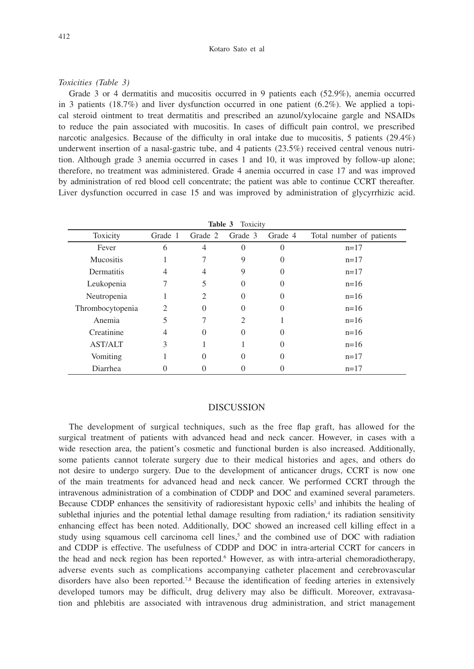## *Toxicities (Table 3)*

Grade 3 or 4 dermatitis and mucositis occurred in 9 patients each (52.9%), anemia occurred in 3 patients (18.7%) and liver dysfunction occurred in one patient  $(6.2\%)$ . We applied a topical steroid ointment to treat dermatitis and prescribed an azunol/xylocaine gargle and NSAIDs to reduce the pain associated with mucositis. In cases of difficult pain control, we prescribed narcotic analgesics. Because of the difficulty in oral intake due to mucositis, 5 patients (29.4%) underwent insertion of a nasal-gastric tube, and 4 patients (23.5%) received central venous nutrition. Although grade 3 anemia occurred in cases 1 and 10, it was improved by follow-up alone; therefore, no treatment was administered. Grade 4 anemia occurred in case 17 and was improved by administration of red blood cell concentrate; the patient was able to continue CCRT thereafter. Liver dysfunction occurred in case 15 and was improved by administration of glycyrrhizic acid.

| $\sim$           |         |  |                         |  |                          |  |  |
|------------------|---------|--|-------------------------|--|--------------------------|--|--|
| Toxicity         | Grade 1 |  | Grade 2 Grade 3 Grade 4 |  | Total number of patients |  |  |
| Fever            |         |  |                         |  | $n=17$                   |  |  |
| <b>Mucositis</b> |         |  |                         |  | $n=17$                   |  |  |
| Dermatitis       |         |  |                         |  | $n=17$                   |  |  |
| Leukopenia       |         |  |                         |  | $n=16$                   |  |  |
| Neutropenia      |         |  |                         |  | $n=16$                   |  |  |

**Table 3** Toxicity

| Thrombocytopenia |          | O        | O                | $n=16$ |
|------------------|----------|----------|------------------|--------|
| Anemia           |          |          |                  | $n=16$ |
| Creatinine       | 4        |          | 0                | $n=16$ |
| <b>AST/ALT</b>   |          |          | 0                | $n=16$ |
| Vomiting         |          | $\theta$ | 0                | $n=17$ |
| Diarrhea         | $\theta$ |          | $\left( \right)$ | $n=17$ |
|                  |          |          |                  |        |

# DISCUSSION

The development of surgical techniques, such as the free flap graft, has allowed for the surgical treatment of patients with advanced head and neck cancer. However, in cases with a wide resection area, the patient's cosmetic and functional burden is also increased. Additionally, some patients cannot tolerate surgery due to their medical histories and ages, and others do not desire to undergo surgery. Due to the development of anticancer drugs, CCRT is now one of the main treatments for advanced head and neck cancer. We performed CCRT through the intravenous administration of a combination of CDDP and DOC and examined several parameters. Because CDDP enhances the sensitivity of radioresistant hypoxic cells<sup>3</sup> and inhibits the healing of sublethal injuries and the potential lethal damage resulting from radiation,<sup>4</sup> its radiation sensitivity enhancing effect has been noted. Additionally, DOC showed an increased cell killing effect in a study using squamous cell carcinoma cell lines,<sup>5</sup> and the combined use of DOC with radiation and CDDP is effective. The usefulness of CDDP and DOC in intra-arterial CCRT for cancers in the head and neck region has been reported.<sup>6</sup> However, as with intra-arterial chemoradiotherapy, adverse events such as complications accompanying catheter placement and cerebrovascular disorders have also been reported.7,8 Because the identification of feeding arteries in extensively developed tumors may be difficult, drug delivery may also be difficult. Moreover, extravasation and phlebitis are associated with intravenous drug administration, and strict management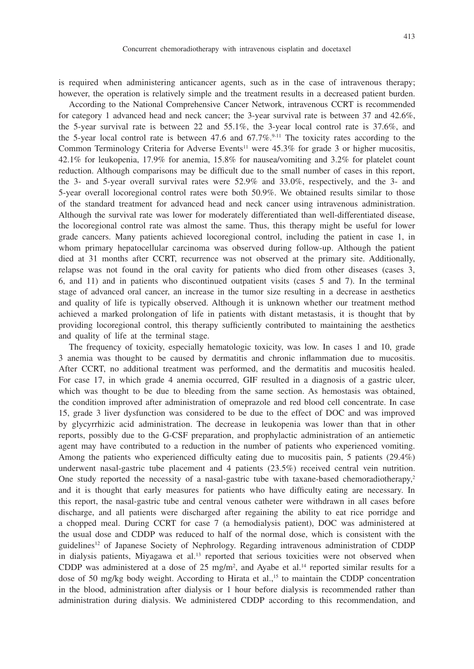is required when administering anticancer agents, such as in the case of intravenous therapy; however, the operation is relatively simple and the treatment results in a decreased patient burden.

According to the National Comprehensive Cancer Network, intravenous CCRT is recommended for category 1 advanced head and neck cancer; the 3-year survival rate is between 37 and 42.6%, the 5-year survival rate is between 22 and 55.1%, the 3-year local control rate is 37.6%, and the 5-year local control rate is between 47.6 and  $67.7\%$ <sup>9-11</sup> The toxicity rates according to the Common Terminology Criteria for Adverse Events<sup>11</sup> were  $45.3\%$  for grade 3 or higher mucositis, 42.1% for leukopenia, 17.9% for anemia, 15.8% for nausea/vomiting and 3.2% for platelet count reduction. Although comparisons may be difficult due to the small number of cases in this report, the 3- and 5-year overall survival rates were 52.9% and 33.0%, respectively, and the 3- and 5-year overall locoregional control rates were both 50.9%. We obtained results similar to those of the standard treatment for advanced head and neck cancer using intravenous administration. Although the survival rate was lower for moderately differentiated than well-differentiated disease, the locoregional control rate was almost the same. Thus, this therapy might be useful for lower grade cancers. Many patients achieved locoregional control, including the patient in case 1, in whom primary hepatocellular carcinoma was observed during follow-up. Although the patient died at 31 months after CCRT, recurrence was not observed at the primary site. Additionally, relapse was not found in the oral cavity for patients who died from other diseases (cases 3, 6, and 11) and in patients who discontinued outpatient visits (cases 5 and 7). In the terminal stage of advanced oral cancer, an increase in the tumor size resulting in a decrease in aesthetics and quality of life is typically observed. Although it is unknown whether our treatment method achieved a marked prolongation of life in patients with distant metastasis, it is thought that by providing locoregional control, this therapy sufficiently contributed to maintaining the aesthetics and quality of life at the terminal stage.

The frequency of toxicity, especially hematologic toxicity, was low. In cases 1 and 10, grade 3 anemia was thought to be caused by dermatitis and chronic inflammation due to mucositis. After CCRT, no additional treatment was performed, and the dermatitis and mucositis healed. For case 17, in which grade 4 anemia occurred, GIF resulted in a diagnosis of a gastric ulcer, which was thought to be due to bleeding from the same section. As hemostasis was obtained, the condition improved after administration of omeprazole and red blood cell concentrate. In case 15, grade 3 liver dysfunction was considered to be due to the effect of DOC and was improved by glycyrrhizic acid administration. The decrease in leukopenia was lower than that in other reports, possibly due to the G-CSF preparation, and prophylactic administration of an antiemetic agent may have contributed to a reduction in the number of patients who experienced vomiting. Among the patients who experienced difficulty eating due to mucositis pain, 5 patients (29.4%) underwent nasal-gastric tube placement and 4 patients (23.5%) received central vein nutrition. One study reported the necessity of a nasal-gastric tube with taxane-based chemoradiotherapy,<sup>2</sup> and it is thought that early measures for patients who have difficulty eating are necessary. In this report, the nasal-gastric tube and central venous catheter were withdrawn in all cases before discharge, and all patients were discharged after regaining the ability to eat rice porridge and a chopped meal. During CCRT for case 7 (a hemodialysis patient), DOC was administered at the usual dose and CDDP was reduced to half of the normal dose, which is consistent with the guidelines12 of Japanese Society of Nephrology. Regarding intravenous administration of CDDP in dialysis patients, Miyagawa et al.<sup>13</sup> reported that serious toxicities were not observed when CDDP was administered at a dose of  $25 \text{ mg/m}^2$ , and Ayabe et al.<sup>14</sup> reported similar results for a dose of 50 mg/kg body weight. According to Hirata et al.,<sup>15</sup> to maintain the CDDP concentration in the blood, administration after dialysis or 1 hour before dialysis is recommended rather than administration during dialysis. We administered CDDP according to this recommendation, and